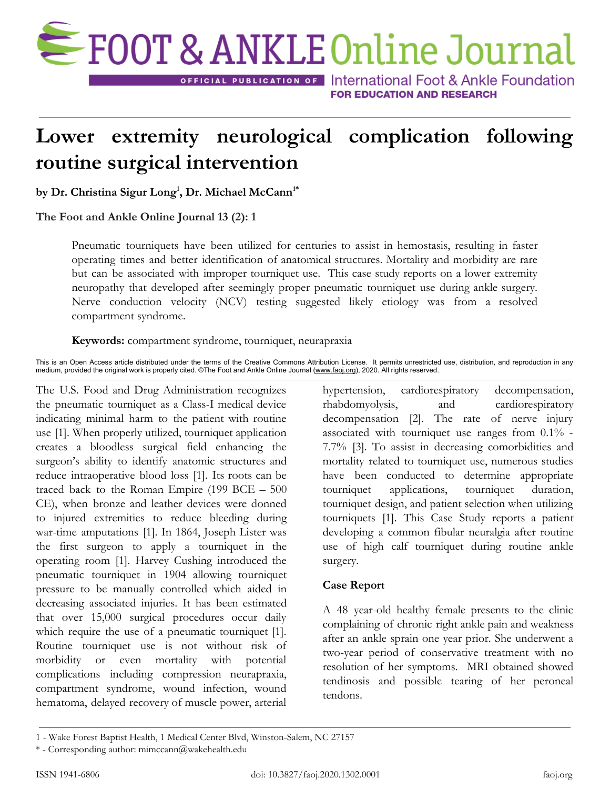

**OFFICIAL PUBLICATION OF International Foot & Ankle Foundation FOR EDUCATION AND RESEARCH** 

# **Lower extremity neurological complication following routine surgical intervention**

**by Dr. Christina Sigur Long<sup>1</sup> , Dr. Michael McCann1\***

**The Foot and Ankle Online Journal 13 (2): 1**

Pneumatic tourniquets have been utilized for centuries to assist in hemostasis, resulting in faster operating times and better identification of anatomical structures. Mortality and morbidity are rare but can be associated with improper tourniquet use. This case study reports on a lower extremity neuropathy that developed after seemingly proper pneumatic tourniquet use during ankle surgery. Nerve conduction velocity (NCV) testing suggested likely etiology was from a resolved compartment syndrome.

**Keywords:** compartment syndrome, tourniquet, neurapraxia

This is an Open Access article distributed under the terms of the Creative Commons Attribution License. It permits unrestricted use, distribution, and reproduction in any medium, provided the original work is properly cited. ©The Foot and Ankle Online Journal [\(www.faoj.org](http://www.faoj.org/)), 2020. All rights reserved.

The U.S. Food and Drug Administration recognizes the pneumatic tourniquet as a Class-I medical device indicating minimal harm to the patient with routine use [1]. When properly utilized, tourniquet application creates a bloodless surgical field enhancing the surgeon's ability to identify anatomic structures and reduce intraoperative blood loss [1]. Its roots can be traced back to the Roman Empire (199 BCE – 500 CE), when bronze and leather devices were donned to injured extremities to reduce bleeding during war-time amputations [1]. In 1864, Joseph Lister was the first surgeon to apply a tourniquet in the operating room [1]. Harvey Cushing introduced the pneumatic tourniquet in 1904 allowing tourniquet pressure to be manually controlled which aided in decreasing associated injuries. It has been estimated that over 15,000 surgical procedures occur daily which require the use of a pneumatic tourniquet [1]. Routine tourniquet use is not without risk of morbidity or even mortality with potential complications including compression neurapraxia, compartment syndrome, wound infection, wound hematoma, delayed recovery of muscle power, arterial

hypertension, cardiorespiratory decompensation, rhabdomyolysis, and cardiorespiratory decompensation [2]. The rate of nerve injury associated with tourniquet use ranges from 0.1% - 7.7% [3]. To assist in decreasing comorbidities and mortality related to tourniquet use, numerous studies have been conducted to determine appropriate tourniquet applications, tourniquet duration, tourniquet design, and patient selection when utilizing tourniquets [1]. This Case Study reports a patient developing a common fibular neuralgia after routine use of high calf tourniquet during routine ankle surgery.

# **Case Report**

A 48 year-old healthy female presents to the clinic complaining of chronic right ankle pain and weakness after an ankle sprain one year prior. She underwent a two-year period of conservative treatment with no resolution of her symptoms. MRI obtained showed tendinosis and possible tearing of her peroneal tendons.

<sup>1</sup> - Wake Forest Baptist Health, 1 Medical Center Blvd, Winston-Salem, NC 27157

<sup>\*</sup> - Corresponding author: mimccann@wakehealth.edu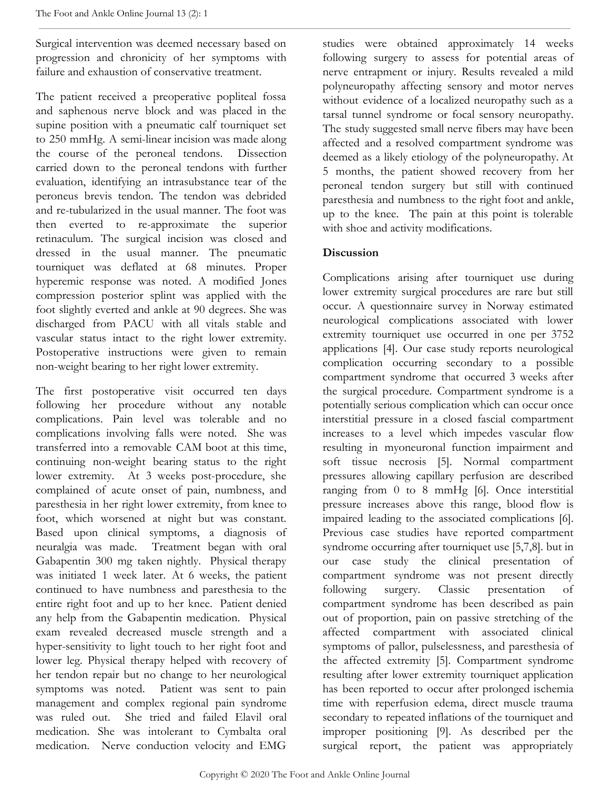Surgical intervention was deemed necessary based on progression and chronicity of her symptoms with failure and exhaustion of conservative treatment.

The patient received a preoperative popliteal fossa and saphenous nerve block and was placed in the supine position with a pneumatic calf tourniquet set to 250 mmHg. A semi-linear incision was made along the course of the peroneal tendons. Dissection carried down to the peroneal tendons with further evaluation, identifying an intrasubstance tear of the peroneus brevis tendon. The tendon was debrided and re-tubularized in the usual manner. The foot was then everted to re-approximate the superior retinaculum. The surgical incision was closed and dressed in the usual manner. The pneumatic tourniquet was deflated at 68 minutes. Proper hyperemic response was noted. A modified Jones compression posterior splint was applied with the foot slightly everted and ankle at 90 degrees. She was discharged from PACU with all vitals stable and vascular status intact to the right lower extremity. Postoperative instructions were given to remain non-weight bearing to her right lower extremity.

The first postoperative visit occurred ten days following her procedure without any notable complications. Pain level was tolerable and no complications involving falls were noted. She was transferred into a removable CAM boot at this time, continuing non-weight bearing status to the right lower extremity. At 3 weeks post-procedure, she complained of acute onset of pain, numbness, and paresthesia in her right lower extremity, from knee to foot, which worsened at night but was constant. Based upon clinical symptoms, a diagnosis of neuralgia was made. Treatment began with oral Gabapentin 300 mg taken nightly. Physical therapy was initiated 1 week later. At 6 weeks, the patient continued to have numbness and paresthesia to the entire right foot and up to her knee. Patient denied any help from the Gabapentin medication. Physical exam revealed decreased muscle strength and a hyper-sensitivity to light touch to her right foot and lower leg. Physical therapy helped with recovery of her tendon repair but no change to her neurological symptoms was noted. Patient was sent to pain management and complex regional pain syndrome was ruled out. She tried and failed Elavil oral medication. She was intolerant to Cymbalta oral medication. Nerve conduction velocity and EMG

studies were obtained approximately 14 weeks following surgery to assess for potential areas of nerve entrapment or injury. Results revealed a mild polyneuropathy affecting sensory and motor nerves without evidence of a localized neuropathy such as a tarsal tunnel syndrome or focal sensory neuropathy. The study suggested small nerve fibers may have been affected and a resolved compartment syndrome was deemed as a likely etiology of the polyneuropathy. At 5 months, the patient showed recovery from her peroneal tendon surgery but still with continued paresthesia and numbness to the right foot and ankle, up to the knee. The pain at this point is tolerable with shoe and activity modifications.

# **Discussion**

Complications arising after tourniquet use during lower extremity surgical procedures are rare but still occur. A questionnaire survey in Norway estimated neurological complications associated with lower extremity tourniquet use occurred in one per 3752 applications [4]. Our case study reports neurological complication occurring secondary to a possible compartment syndrome that occurred 3 weeks after the surgical procedure. Compartment syndrome is a potentially serious complication which can occur once interstitial pressure in a closed fascial compartment increases to a level which impedes vascular flow resulting in myoneuronal function impairment and soft tissue necrosis [5]. Normal compartment pressures allowing capillary perfusion are described ranging from 0 to 8 mmHg [6]. Once interstitial pressure increases above this range, blood flow is impaired leading to the associated complications [6]. Previous case studies have reported compartment syndrome occurring after tourniquet use [5,7,8]. but in our case study the clinical presentation of compartment syndrome was not present directly following surgery. Classic presentation of compartment syndrome has been described as pain out of proportion, pain on passive stretching of the affected compartment with associated clinical symptoms of pallor, pulselessness, and paresthesia of the affected extremity [5]. Compartment syndrome resulting after lower extremity tourniquet application has been reported to occur after prolonged ischemia time with reperfusion edema, direct muscle trauma secondary to repeated inflations of the tourniquet and improper positioning [9]. As described per the surgical report, the patient was appropriately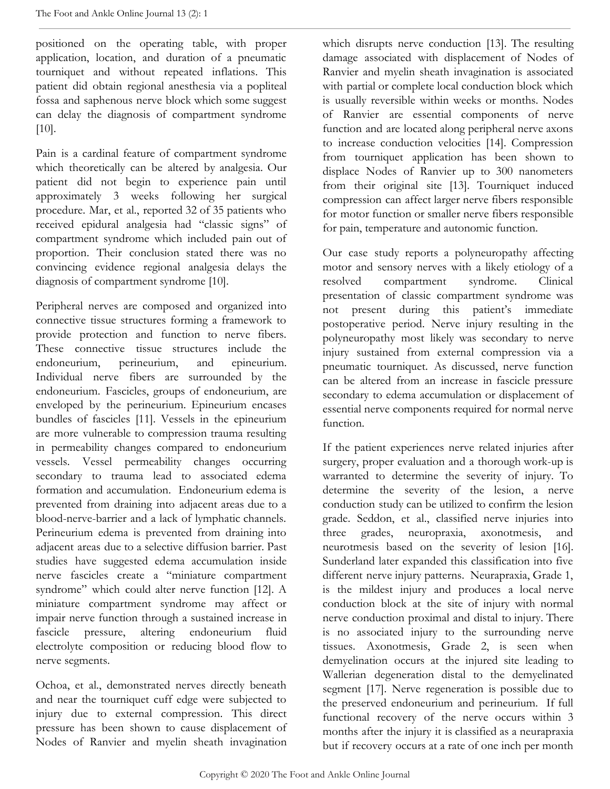positioned on the operating table, with proper application, location, and duration of a pneumatic tourniquet and without repeated inflations. This patient did obtain regional anesthesia via a popliteal fossa and saphenous nerve block which some suggest can delay the diagnosis of compartment syndrome [10].

Pain is a cardinal feature of compartment syndrome which theoretically can be altered by analgesia. Our patient did not begin to experience pain until approximately 3 weeks following her surgical procedure. Mar, et al., reported 32 of 35 patients who received epidural analgesia had "classic signs" of compartment syndrome which included pain out of proportion. Their conclusion stated there was no convincing evidence regional analgesia delays the diagnosis of compartment syndrome [10].

Peripheral nerves are composed and organized into connective tissue structures forming a framework to provide protection and function to nerve fibers. These connective tissue structures include the endoneurium, perineurium, and epineurium. Individual nerve fibers are surrounded by the endoneurium. Fascicles, groups of endoneurium, are enveloped by the perineurium. Epineurium encases bundles of fascicles [11]. Vessels in the epineurium are more vulnerable to compression trauma resulting in permeability changes compared to endoneurium vessels. Vessel permeability changes occurring secondary to trauma lead to associated edema formation and accumulation. Endoneurium edema is prevented from draining into adjacent areas due to a blood-nerve-barrier and a lack of lymphatic channels. Perineurium edema is prevented from draining into adjacent areas due to a selective diffusion barrier. Past studies have suggested edema accumulation inside nerve fascicles create a "miniature compartment syndrome" which could alter nerve function [12]. A miniature compartment syndrome may affect or impair nerve function through a sustained increase in fascicle pressure, altering endoneurium fluid electrolyte composition or reducing blood flow to nerve segments.

Ochoa, et al., demonstrated nerves directly beneath and near the tourniquet cuff edge were subjected to injury due to external compression. This direct pressure has been shown to cause displacement of Nodes of Ranvier and myelin sheath invagination which disrupts nerve conduction [13]. The resulting damage associated with displacement of Nodes of Ranvier and myelin sheath invagination is associated with partial or complete local conduction block which is usually reversible within weeks or months. Nodes of Ranvier are essential components of nerve function and are located along peripheral nerve axons to increase conduction velocities [14]. Compression from tourniquet application has been shown to displace Nodes of Ranvier up to 300 nanometers from their original site [13]. Tourniquet induced compression can affect larger nerve fibers responsible for motor function or smaller nerve fibers responsible for pain, temperature and autonomic function.

Our case study reports a polyneuropathy affecting motor and sensory nerves with a likely etiology of a resolved compartment syndrome. Clinical presentation of classic compartment syndrome was not present during this patient's immediate postoperative period. Nerve injury resulting in the polyneuropathy most likely was secondary to nerve injury sustained from external compression via a pneumatic tourniquet. As discussed, nerve function can be altered from an increase in fascicle pressure secondary to edema accumulation or displacement of essential nerve components required for normal nerve function.

If the patient experiences nerve related injuries after surgery, proper evaluation and a thorough work-up is warranted to determine the severity of injury. To determine the severity of the lesion, a nerve conduction study can be utilized to confirm the lesion grade. Seddon, et al., classified nerve injuries into three grades, neuropraxia, axonotmesis, and neurotmesis based on the severity of lesion [16]. Sunderland later expanded this classification into five different nerve injury patterns. Neurapraxia, Grade 1, is the mildest injury and produces a local nerve conduction block at the site of injury with normal nerve conduction proximal and distal to injury. There is no associated injury to the surrounding nerve tissues. Axonotmesis, Grade 2, is seen when demyelination occurs at the injured site leading to Wallerian degeneration distal to the demyelinated segment [17]. Nerve regeneration is possible due to the preserved endoneurium and perineurium. If full functional recovery of the nerve occurs within 3 months after the injury it is classified as a neurapraxia but if recovery occurs at a rate of one inch per month